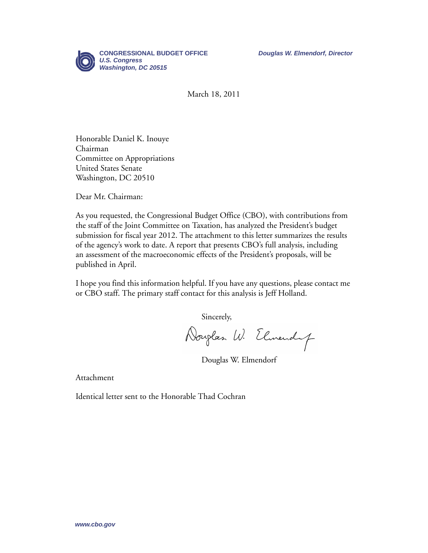

March 18, 2011

Honorable Daniel K. Inouye Chairman Committee on Appropriations United States Senate Washington, DC 20510

Dear Mr. Chairman:

As you requested, the Congressional Budget Office (CBO), with contributions from the staff of the Joint Committee on Taxation, has analyzed the President's budget submission for fiscal year 2012. The attachment to this letter summarizes the results of the agency's work to date. A report that presents CBO's full analysis, including an assessment of the macroeconomic effects of the President's proposals, will be published in April.

I hope you find this information helpful. If you have any questions, please contact me or CBO staff. The primary staff contact for this analysis is Jeff Holland.

Sincerely,

Douglas W. Elmendy

Douglas W. Elmendorf

Attachment

Identical letter sent to the Honorable Thad Cochran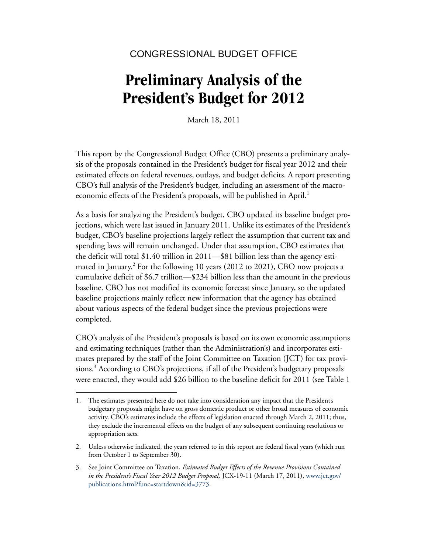## CONGRESSIONAL BUDGET OFFICE

# **Preliminary Analysis of the President's Budget for 2012**

March 18, 2011

This report by the Congressional Budget Office (CBO) presents a preliminary analysis of the proposals contained in the President's budget for fiscal year 2012 and their estimated effects on federal revenues, outlays, and budget deficits. A report presenting CBO's full analysis of the President's budget, including an assessment of the macroeconomic effects of the President's proposals, will be published in April.<sup>1</sup>

As a basis for analyzing the President's budget, CBO updated its baseline budget projections, which were last issued in January 2011. Unlike its estimates of the President's budget, CBO's baseline projections largely reflect the assumption that current tax and spending laws will remain unchanged. Under that assumption, CBO estimates that the deficit will total \$1.40 trillion in 2011—\$81 billion less than the agency estimated in January.<sup>2</sup> For the following 10 years (2012 to 2021), CBO now projects a cumulative deficit of \$6.7 trillion—\$234 billion less than the amount in the previous baseline. CBO has not modified its economic forecast since January, so the updated baseline projections mainly reflect new information that the agency has obtained about various aspects of the federal budget since the previous projections were completed.

CBO's analysis of the President's proposals is based on its own economic assumptions and estimating techniques (rather than the Administration's) and incorporates estimates prepared by the staff of the Joint Committee on Taxation (JCT) for tax provisions.<sup>3</sup> According to CBO's projections, if all of the President's budgetary proposals were enacted, they would add \$26 billion to the baseline deficit for 2011 (see [Table 1](#page-15-0) 

<sup>1.</sup> The estimates presented here do not take into consideration any impact that the President's budgetary proposals might have on gross domestic product or other broad measures of economic activity. CBO's estimates include the effects of legislation enacted through March 2, 2011; thus, they exclude the incremental effects on the budget of any subsequent continuing resolutions or appropriation acts.

<sup>2.</sup> Unless otherwise indicated, the years referred to in this report are federal fiscal years (which run from October 1 to September 30).

<sup>3.</sup> See Joint Committee on Taxation, *Estimated Budget Effects of the Revenue Provisions Contained in the President's Fiscal Year 2012 Budget Proposal,* JCX-19-11 (March 17, 2011), [www.jct.gov/](http://www.jct.gov/publications.html?func=startdown&id=3773) publications.html?func=startdown&id=3773.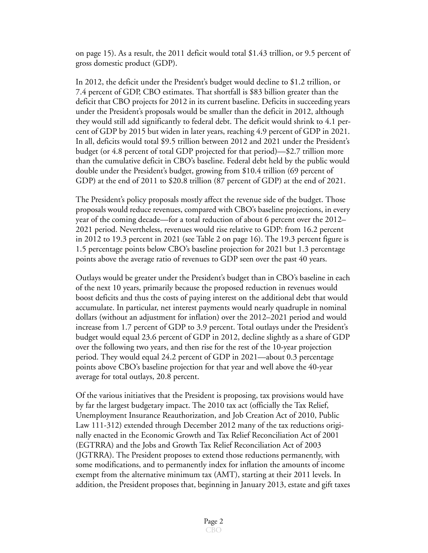[on page 15](#page-15-0)). As a result, the 2011 deficit would total \$1.43 trillion, or 9.5 percent of gross domestic product (GDP).

In 2012, the deficit under the President's budget would decline to \$1.2 trillion, or 7.4 percent of GDP, CBO estimates. That shortfall is \$83 billion greater than the deficit that CBO projects for 2012 in its current baseline. Deficits in succeeding years under the President's proposals would be smaller than the deficit in 2012, although they would still add significantly to federal debt. The deficit would shrink to 4.1 percent of GDP by 2015 but widen in later years, reaching 4.9 percent of GDP in 2021. In all, deficits would total \$9.5 trillion between 2012 and 2021 under the President's budget (or 4.8 percent of total GDP projected for that period)—\$2.7 trillion more than the cumulative deficit in CBO's baseline. Federal debt held by the public would double under the President's budget, growing from \$10.4 trillion (69 percent of GDP) at the end of 2011 to \$20.8 trillion (87 percent of GDP) at the end of 2021.

The President's policy proposals mostly affect the revenue side of the budget. Those proposals would reduce revenues, compared with CBO's baseline projections, in every year of the coming decade—for a total reduction of about 6 percent over the 2012– 2021 period. Nevertheless, revenues would rise relative to GDP: from 16.2 percent in 2012 to 19.3 percent in 2021 (see [Table 2 on page 16](#page-16-0)). The 19.3 percent figure is 1.5 percentage points below CBO's baseline projection for 2021 but 1.3 percentage points above the average ratio of revenues to GDP seen over the past 40 years.

Outlays would be greater under the President's budget than in CBO's baseline in each of the next 10 years, primarily because the proposed reduction in revenues would boost deficits and thus the costs of paying interest on the additional debt that would accumulate. In particular, net interest payments would nearly quadruple in nominal dollars (without an adjustment for inflation) over the 2012–2021 period and would increase from 1.7 percent of GDP to 3.9 percent. Total outlays under the President's budget would equal 23.6 percent of GDP in 2012, decline slightly as a share of GDP over the following two years, and then rise for the rest of the 10-year projection period. They would equal 24.2 percent of GDP in 2021—about 0.3 percentage points above CBO's baseline projection for that year and well above the 40-year average for total outlays, 20.8 percent.

Of the various initiatives that the President is proposing, tax provisions would have by far the largest budgetary impact. The 2010 tax act (officially the Tax Relief, Unemployment Insurance Reauthorization, and Job Creation Act of 2010, Public Law 111-312) extended through December 2012 many of the tax reductions originally enacted in the Economic Growth and Tax Relief Reconciliation Act of 2001 (EGTRRA) and the Jobs and Growth Tax Relief Reconciliation Act of 2003 (JGTRRA). The President proposes to extend those reductions permanently, with some modifications, and to permanently index for inflation the amounts of income exempt from the alternative minimum tax (AMT), starting at their 2011 levels. In addition, the President proposes that, beginning in January 2013, estate and gift taxes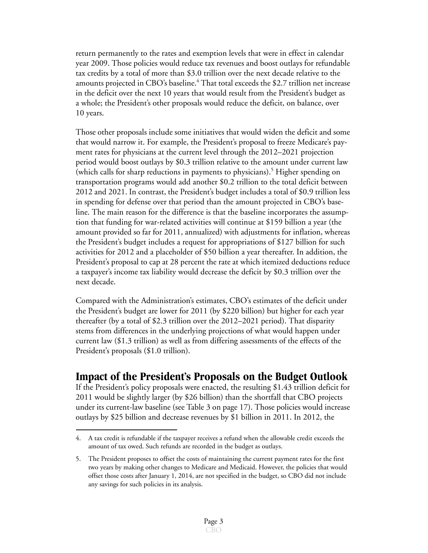return permanently to the rates and exemption levels that were in effect in calendar year 2009. Those policies would reduce tax revenues and boost outlays for refundable tax credits by a total of more than \$3.0 trillion over the next decade relative to the amounts projected in CBO's baseline.<sup>4</sup> That total exceeds the \$2.7 trillion net increase in the deficit over the next 10 years that would result from the President's budget as a whole; the President's other proposals would reduce the deficit, on balance, over 10 years.

Those other proposals include some initiatives that would widen the deficit and some that would narrow it. For example, the President's proposal to freeze Medicare's payment rates for physicians at the current level through the 2012–2021 projection period would boost outlays by \$0.3 trillion relative to the amount under current law (which calls for sharp reductions in payments to physicians).<sup>5</sup> Higher spending on transportation programs would add another \$0.2 trillion to the total deficit between 2012 and 2021. In contrast, the President's budget includes a total of \$0.9 trillion less in spending for defense over that period than the amount projected in CBO's baseline. The main reason for the difference is that the baseline incorporates the assumption that funding for war-related activities will continue at \$159 billion a year (the amount provided so far for 2011, annualized) with adjustments for inflation, whereas the President's budget includes a request for appropriations of \$127 billion for such activities for 2012 and a placeholder of \$50 billion a year thereafter. In addition, the President's proposal to cap at 28 percent the rate at which itemized deductions reduce a taxpayer's income tax liability would decrease the deficit by \$0.3 trillion over the next decade.

Compared with the Administration's estimates, CBO's estimates of the deficit under the President's budget are lower for 2011 (by \$220 billion) but higher for each year thereafter (by a total of \$2.3 trillion over the 2012–2021 period). That disparity stems from differences in the underlying projections of what would happen under current law (\$1.3 trillion) as well as from differing assessments of the effects of the President's proposals (\$1.0 trillion).

## **Impact of the President's Proposals on the Budget Outlook**

If the President's policy proposals were enacted, the resulting \$1.43 trillion deficit for 2011 would be slightly larger (by \$26 billion) than the shortfall that CBO projects under its current-law baseline (see [Table 3 on page 17\)](#page-17-0). Those policies would increase outlays by \$25 billion and decrease revenues by \$1 billion in 2011. In 2012, the

<sup>4.</sup> A tax credit is refundable if the taxpayer receives a refund when the allowable credit exceeds the amount of tax owed. Such refunds are recorded in the budget as outlays.

<sup>5.</sup> The President proposes to offset the costs of maintaining the current payment rates for the first two years by making other changes to Medicare and Medicaid. However, the policies that would offset those costs after January 1, 2014, are not specified in the budget, so CBO did not include any savings for such policies in its analysis.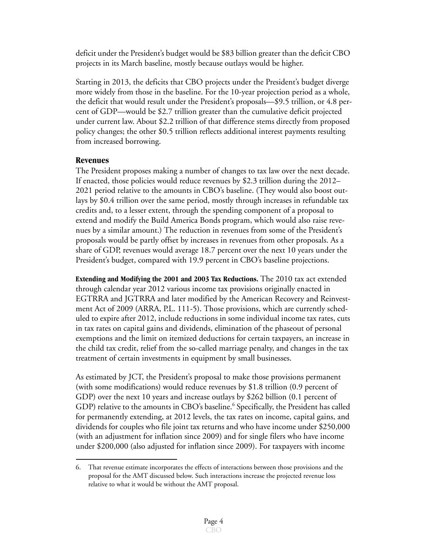deficit under the President's budget would be \$83 billion greater than the deficit CBO projects in its March baseline, mostly because outlays would be higher.

Starting in 2013, the deficits that CBO projects under the President's budget diverge more widely from those in the baseline. For the 10-year projection period as a whole, the deficit that would result under the President's proposals—\$9.5 trillion, or 4.8 percent of GDP—would be \$2.7 trillion greater than the cumulative deficit projected under current law. About \$2.2 trillion of that difference stems directly from proposed policy changes; the other \$0.5 trillion reflects additional interest payments resulting from increased borrowing.

#### **Revenues**

The President proposes making a number of changes to tax law over the next decade. If enacted, those policies would reduce revenues by \$2.3 trillion during the 2012– 2021 period relative to the amounts in CBO's baseline. (They would also boost outlays by \$0.4 trillion over the same period, mostly through increases in refundable tax credits and, to a lesser extent, through the spending component of a proposal to extend and modify the Build America Bonds program, which would also raise revenues by a similar amount.) The reduction in revenues from some of the President's proposals would be partly offset by increases in revenues from other proposals. As a share of GDP, revenues would average 18.7 percent over the next 10 years under the President's budget, compared with 19.9 percent in CBO's baseline projections.

**Extending and Modifying the 2001 and 2003 Tax Reductions.** The 2010 tax act extended through calendar year 2012 various income tax provisions originally enacted in EGTRRA and JGTRRA and later modified by the American Recovery and Reinvestment Act of 2009 (ARRA, P.L. 111-5). Those provisions, which are currently scheduled to expire after 2012, include reductions in some individual income tax rates, cuts in tax rates on capital gains and dividends, elimination of the phaseout of personal exemptions and the limit on itemized deductions for certain taxpayers, an increase in the child tax credit, relief from the so-called marriage penalty, and changes in the tax treatment of certain investments in equipment by small businesses.

As estimated by JCT, the President's proposal to make those provisions permanent (with some modifications) would reduce revenues by \$1.8 trillion (0.9 percent of GDP) over the next 10 years and increase outlays by \$262 billion (0.1 percent of GDP) relative to the amounts in CBO's baseline.<sup>6</sup> Specifically, the President has called for permanently extending, at 2012 levels, the tax rates on income, capital gains, and dividends for couples who file joint tax returns and who have income under \$250,000 (with an adjustment for inflation since 2009) and for single filers who have income under \$200,000 (also adjusted for inflation since 2009). For taxpayers with income

<sup>6.</sup> That revenue estimate incorporates the effects of interactions between those provisions and the proposal for the AMT discussed below. Such interactions increase the projected revenue loss relative to what it would be without the AMT proposal.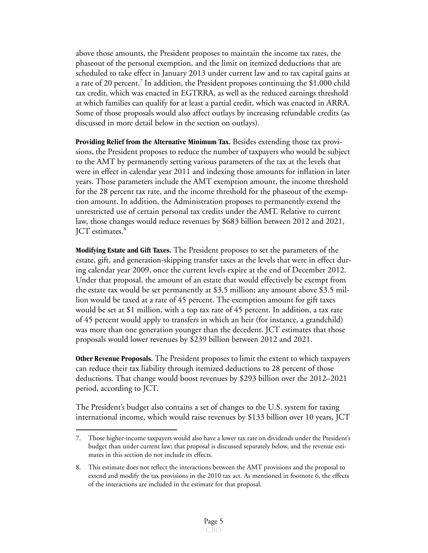above those amounts, the President proposes to maintain the income tax rates, the phaseout of the personal exemption, and the limit on itemized deductions that are scheduled to take effect in January 2013 under current law and to tax capital gains at a rate of 20 percent.<sup>7</sup> In addition, the President proposes continuing the \$1,000 child tax credit, which was enacted in EGTRRA, as well as the reduced earnings threshold at which families can qualify for at least a partial credit, which was enacted in ARRA. Some of those proposals would also affect outlays by increasing refundable credits (as discussed in more detail below in the section on outlays).

**Providing Relief from the Alternative Minimum Tax.** Besides extending those tax provisions, the President proposes to reduce the number of taxpayers who would be subject to the AMT by permanently setting various parameters of the tax at the levels that were in effect in calendar year 2011 and indexing those amounts for inflation in later years. Those parameters include the AMT exemption amount, the income threshold for the 28 percent tax rate, and the income threshold for the phaseout of the exemption amount. In addition, the Administration proposes to permanently extend the unrestricted use of certain personal tax credits under the AMT. Relative to current law, those changes would reduce revenues by \$683 billion between 2012 and 2021, ICT estimates.<sup>8</sup>

**Modifying Estate and Gift Taxes.** The President proposes to set the parameters of the estate, gift, and generation-skipping transfer taxes at the levels that were in effect during calendar year 2009, once the current levels expire at the end of December 2012. Under that proposal, the amount of an estate that would effectively be exempt from the estate tax would be set permanently at \$3.5 million; any amount above \$3.5 million would be taxed at a rate of 45 percent. The exemption amount for gift taxes would be set at \$1 million, with a top tax rate of 45 percent. In addition, a tax rate of 45 percent would apply to transfers in which an heir (for instance, a grandchild) was more than one generation younger than the decedent. JCT estimates that those proposals would lower revenues by \$239 billion between 2012 and 2021.

**Other Revenue Proposals.** The President proposes to limit the extent to which taxpayers can reduce their tax liability through itemized deductions to 28 percent of those deductions. That change would boost revenues by \$293 billion over the 2012–2021 period, according to JCT.

The President's budget also contains a set of changes to the U.S. system for taxing international income, which would raise revenues by \$133 billion over 10 years, JCT

<sup>7.</sup> Those higher-income taxpayers would also have a lower tax rate on dividends under the President's budget than under current law; that proposal is discussed separately below, and the revenue estimates in this section do not include its effects.

<sup>8.</sup> This estimate does not reflect the interactions between the AMT provisions and the proposal to extend and modify the tax provisions in the 2010 tax act. As mentioned in footnote 6, the effects of the interactions are included in the estimate for that proposal.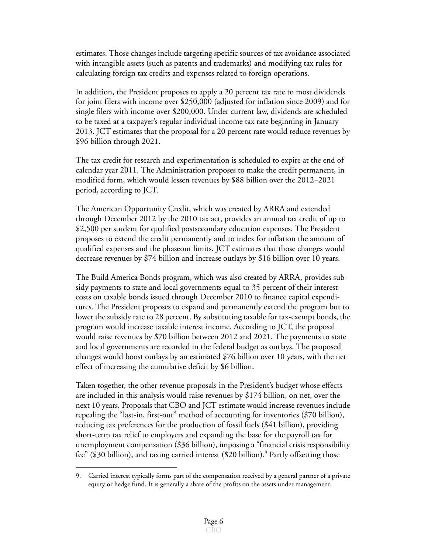estimates. Those changes include targeting specific sources of tax avoidance associated with intangible assets (such as patents and trademarks) and modifying tax rules for calculating foreign tax credits and expenses related to foreign operations.

In addition, the President proposes to apply a 20 percent tax rate to most dividends for joint filers with income over \$250,000 (adjusted for inflation since 2009) and for single filers with income over \$200,000. Under current law, dividends are scheduled to be taxed at a taxpayer's regular individual income tax rate beginning in January 2013. JCT estimates that the proposal for a 20 percent rate would reduce revenues by \$96 billion through 2021.

The tax credit for research and experimentation is scheduled to expire at the end of calendar year 2011. The Administration proposes to make the credit permanent, in modified form, which would lessen revenues by \$88 billion over the 2012–2021 period, according to JCT.

The American Opportunity Credit, which was created by ARRA and extended through December 2012 by the 2010 tax act, provides an annual tax credit of up to \$2,500 per student for qualified postsecondary education expenses. The President proposes to extend the credit permanently and to index for inflation the amount of qualified expenses and the phaseout limits. JCT estimates that those changes would decrease revenues by \$74 billion and increase outlays by \$16 billion over 10 years.

The Build America Bonds program, which was also created by ARRA, provides subsidy payments to state and local governments equal to 35 percent of their interest costs on taxable bonds issued through December 2010 to finance capital expenditures. The President proposes to expand and permanently extend the program but to lower the subsidy rate to 28 percent. By substituting taxable for tax-exempt bonds, the program would increase taxable interest income. According to JCT, the proposal would raise revenues by \$70 billion between 2012 and 2021. The payments to state and local governments are recorded in the federal budget as outlays. The proposed changes would boost outlays by an estimated \$76 billion over 10 years, with the net effect of increasing the cumulative deficit by \$6 billion.

Taken together, the other revenue proposals in the President's budget whose effects are included in this analysis would raise revenues by \$174 billion, on net, over the next 10 years. Proposals that CBO and JCT estimate would increase revenues include repealing the "last-in, first-out" method of accounting for inventories (\$70 billion), reducing tax preferences for the production of fossil fuels (\$41 billion), providing short-term tax relief to employers and expanding the base for the payroll tax for unemployment compensation (\$36 billion), imposing a "financial crisis responsibility fee" (\$30 billion), and taxing carried interest (\$20 billion).<sup>9</sup> Partly offsetting those

<sup>9.</sup> Carried interest typically forms part of the compensation received by a general partner of a private equity or hedge fund. It is generally a share of the profits on the assets under management.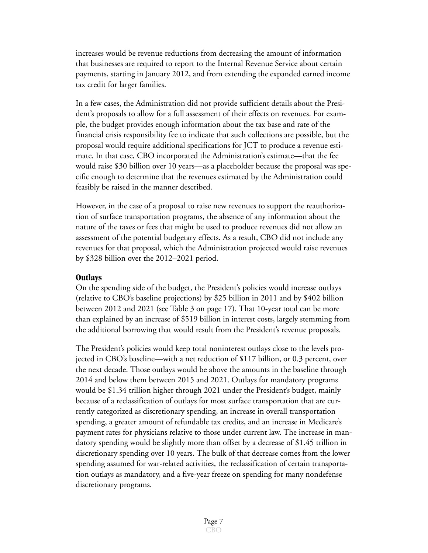increases would be revenue reductions from decreasing the amount of information that businesses are required to report to the Internal Revenue Service about certain payments, starting in January 2012, and from extending the expanded earned income tax credit for larger families.

In a few cases, the Administration did not provide sufficient details about the President's proposals to allow for a full assessment of their effects on revenues. For example, the budget provides enough information about the tax base and rate of the financial crisis responsibility fee to indicate that such collections are possible, but the proposal would require additional specifications for JCT to produce a revenue estimate. In that case, CBO incorporated the Administration's estimate—that the fee would raise \$30 billion over 10 years—as a placeholder because the proposal was specific enough to determine that the revenues estimated by the Administration could feasibly be raised in the manner described.

However, in the case of a proposal to raise new revenues to support the reauthorization of surface transportation programs, the absence of any information about the nature of the taxes or fees that might be used to produce revenues did not allow an assessment of the potential budgetary effects. As a result, CBO did not include any revenues for that proposal, which the Administration projected would raise revenues by \$328 billion over the 2012–2021 period.

#### **Outlays**

On the spending side of the budget, the President's policies would increase outlays (relative to CBO's baseline projections) by \$25 billion in 2011 and by \$402 billion between 2012 and 2021 (see [Table 3 on page 17](#page-17-0)). That 10-year total can be more than explained by an increase of \$519 billion in interest costs, largely stemming from the additional borrowing that would result from the President's revenue proposals.

The President's policies would keep total noninterest outlays close to the levels projected in CBO's baseline—with a net reduction of \$117 billion, or 0.3 percent, over the next decade. Those outlays would be above the amounts in the baseline through 2014 and below them between 2015 and 2021. Outlays for mandatory programs would be \$1.34 trillion higher through 2021 under the President's budget, mainly because of a reclassification of outlays for most surface transportation that are currently categorized as discretionary spending, an increase in overall transportation spending, a greater amount of refundable tax credits, and an increase in Medicare's payment rates for physicians relative to those under current law. The increase in mandatory spending would be slightly more than offset by a decrease of \$1.45 trillion in discretionary spending over 10 years. The bulk of that decrease comes from the lower spending assumed for war-related activities, the reclassification of certain transportation outlays as mandatory, and a five-year freeze on spending for many nondefense discretionary programs.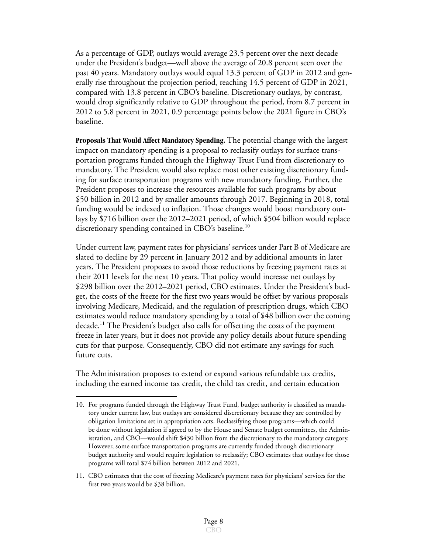As a percentage of GDP, outlays would average 23.5 percent over the next decade under the President's budget—well above the average of 20.8 percent seen over the past 40 years. Mandatory outlays would equal 13.3 percent of GDP in 2012 and generally rise throughout the projection period, reaching 14.5 percent of GDP in 2021, compared with 13.8 percent in CBO's baseline. Discretionary outlays, by contrast, would drop significantly relative to GDP throughout the period, from 8.7 percent in 2012 to 5.8 percent in 2021, 0.9 percentage points below the 2021 figure in CBO's baseline.

**Proposals That Would Affect Mandatory Spending.** The potential change with the largest impact on mandatory spending is a proposal to reclassify outlays for surface transportation programs funded through the Highway Trust Fund from discretionary to mandatory. The President would also replace most other existing discretionary funding for surface transportation programs with new mandatory funding. Further, the President proposes to increase the resources available for such programs by about \$50 billion in 2012 and by smaller amounts through 2017. Beginning in 2018, total funding would be indexed to inflation. Those changes would boost mandatory outlays by \$716 billion over the 2012–2021 period, of which \$504 billion would replace discretionary spending contained in CBO's baseline.<sup>10</sup>

Under current law, payment rates for physicians' services under Part B of Medicare are slated to decline by 29 percent in January 2012 and by additional amounts in later years. The President proposes to avoid those reductions by freezing payment rates at their 2011 levels for the next 10 years. That policy would increase net outlays by \$298 billion over the 2012–2021 period, CBO estimates. Under the President's budget, the costs of the freeze for the first two years would be offset by various proposals involving Medicare, Medicaid, and the regulation of prescription drugs, which CBO estimates would reduce mandatory spending by a total of \$48 billion over the coming decade.<sup>11</sup> The President's budget also calls for offsetting the costs of the payment freeze in later years, but it does not provide any policy details about future spending cuts for that purpose. Consequently, CBO did not estimate any savings for such future cuts.

The Administration proposes to extend or expand various refundable tax credits, including the earned income tax credit, the child tax credit, and certain education

<sup>10.</sup> For programs funded through the Highway Trust Fund, budget authority is classified as mandatory under current law, but outlays are considered discretionary because they are controlled by obligation limitations set in appropriation acts. Reclassifying those programs—which could be done without legislation if agreed to by the House and Senate budget committees, the Administration, and CBO—would shift \$430 billion from the discretionary to the mandatory category. However, some surface transportation programs are currently funded through discretionary budget authority and would require legislation to reclassify; CBO estimates that outlays for those programs will total \$74 billion between 2012 and 2021.

<sup>11.</sup> CBO estimates that the cost of freezing Medicare's payment rates for physicians' services for the first two years would be \$38 billion.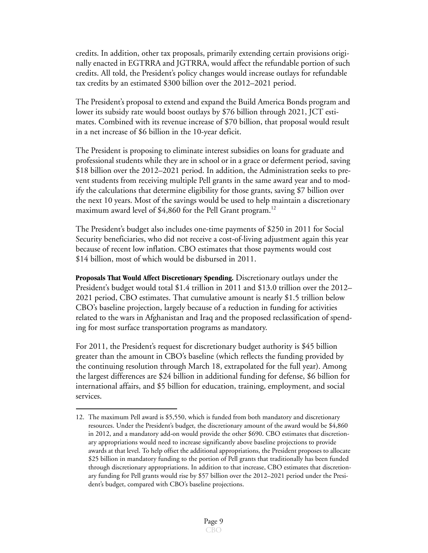credits. In addition, other tax proposals, primarily extending certain provisions originally enacted in EGTRRA and JGTRRA, would affect the refundable portion of such credits. All told, the President's policy changes would increase outlays for refundable tax credits by an estimated \$300 billion over the 2012–2021 period.

The President's proposal to extend and expand the Build America Bonds program and lower its subsidy rate would boost outlays by \$76 billion through 2021, JCT estimates. Combined with its revenue increase of \$70 billion, that proposal would result in a net increase of \$6 billion in the 10-year deficit.

The President is proposing to eliminate interest subsidies on loans for graduate and professional students while they are in school or in a grace or deferment period, saving \$18 billion over the 2012–2021 period. In addition, the Administration seeks to prevent students from receiving multiple Pell grants in the same award year and to modify the calculations that determine eligibility for those grants, saving \$7 billion over the next 10 years. Most of the savings would be used to help maintain a discretionary maximum award level of  $$4,860$  for the Pell Grant program.<sup>12</sup>

The President's budget also includes one-time payments of \$250 in 2011 for Social Security beneficiaries, who did not receive a cost-of-living adjustment again this year because of recent low inflation. CBO estimates that those payments would cost \$14 billion, most of which would be disbursed in 2011.

**Proposals That Would Affect Discretionary Spending.** Discretionary outlays under the President's budget would total \$1.4 trillion in 2011 and \$13.0 trillion over the 2012– 2021 period, CBO estimates. That cumulative amount is nearly \$1.5 trillion below CBO's baseline projection, largely because of a reduction in funding for activities related to the wars in Afghanistan and Iraq and the proposed reclassification of spending for most surface transportation programs as mandatory.

For 2011, the President's request for discretionary budget authority is \$45 billion greater than the amount in CBO's baseline (which reflects the funding provided by the continuing resolution through March 18, extrapolated for the full year). Among the largest differences are \$24 billion in additional funding for defense, \$6 billion for international affairs, and \$5 billion for education, training, employment, and social services.

<sup>12.</sup> The maximum Pell award is \$5,550, which is funded from both mandatory and discretionary resources. Under the President's budget, the discretionary amount of the award would be \$4,860 in 2012, and a mandatory add-on would provide the other \$690. CBO estimates that discretionary appropriations would need to increase significantly above baseline projections to provide awards at that level. To help offset the additional appropriations, the President proposes to allocate \$25 billion in mandatory funding to the portion of Pell grants that traditionally has been funded through discretionary appropriations. In addition to that increase, CBO estimates that discretionary funding for Pell grants would rise by \$57 billion over the 2012–2021 period under the President's budget, compared with CBO's baseline projections.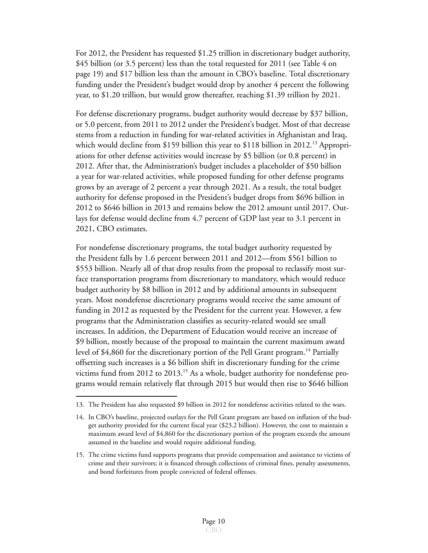For 2012, the President has requested \$1.25 trillion in discretionary budget authority, \$45 billion (or 3.5 percent) less than the total requested for 2011 (see [Table 4 on](#page-19-0)  page 19) and \$17 billion less than the amount in CBO's baseline. Total discretionary funding under the President's budget would drop by another 4 percent the following year, to \$1.20 trillion, but would grow thereafter, reaching \$1.39 trillion by 2021.

For defense discretionary programs, budget authority would decrease by \$37 billion, or 5.0 percent, from 2011 to 2012 under the President's budget. Most of that decrease stems from a reduction in funding for war-related activities in Afghanistan and Iraq, which would decline from \$159 billion this year to \$118 billion in 2012.<sup>13</sup> Appropriations for other defense activities would increase by \$5 billion (or 0.8 percent) in 2012. After that, the Administration's budget includes a placeholder of \$50 billion a year for war-related activities, while proposed funding for other defense programs grows by an average of 2 percent a year through 2021. As a result, the total budget authority for defense proposed in the President's budget drops from \$696 billion in 2012 to \$646 billion in 2013 and remains below the 2012 amount until 2017. Outlays for defense would decline from 4.7 percent of GDP last year to 3.1 percent in 2021, CBO estimates.

For nondefense discretionary programs, the total budget authority requested by the President falls by 1.6 percent between 2011 and 2012—from \$561 billion to \$553 billion. Nearly all of that drop results from the proposal to reclassify most surface transportation programs from discretionary to mandatory, which would reduce budget authority by \$8 billion in 2012 and by additional amounts in subsequent years. Most nondefense discretionary programs would receive the same amount of funding in 2012 as requested by the President for the current year. However, a few programs that the Administration classifies as security-related would see small increases. In addition, the Department of Education would receive an increase of \$9 billion, mostly because of the proposal to maintain the current maximum award level of  $$4,860$  for the discretionary portion of the Pell Grant program.<sup>14</sup> Partially offsetting such increases is a \$6 billion shift in discretionary funding for the crime victims fund from 2012 to 2013.<sup>15</sup> As a whole, budget authority for nondefense programs would remain relatively flat through 2015 but would then rise to \$646 billion

<sup>13.</sup> The President has also requested \$9 billion in 2012 for nondefense activities related to the wars.

<sup>14.</sup> In CBO's baseline, projected outlays for the Pell Grant program are based on inflation of the budget authority provided for the current fiscal year (\$23.2 billion). However, the cost to maintain a maximum award level of \$4,860 for the discretionary portion of the program exceeds the amount assumed in the baseline and would require additional funding.

<sup>15.</sup> The crime victims fund supports programs that provide compensation and assistance to victims of crime and their survivors; it is financed through collections of criminal fines, penalty assessments, and bond forfeitures from people convicted of federal offenses.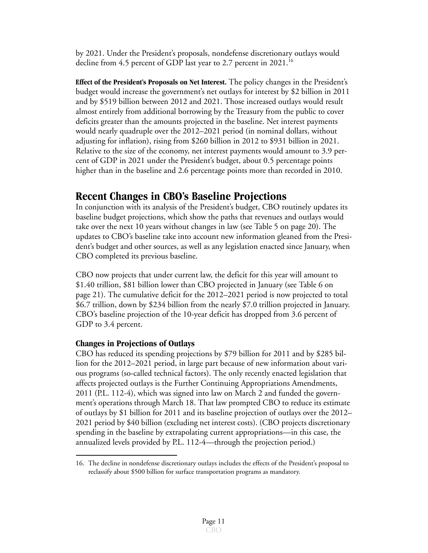by 2021. Under the President's proposals, nondefense discretionary outlays would decline from 4.5 percent of GDP last year to 2.7 percent in 2021.<sup>16</sup>

**Effect of the President's Proposals on Net Interest.** The policy changes in the President's budget would increase the government's net outlays for interest by \$2 billion in 2011 and by \$519 billion between 2012 and 2021. Those increased outlays would result almost entirely from additional borrowing by the Treasury from the public to cover deficits greater than the amounts projected in the baseline. Net interest payments would nearly quadruple over the 2012–2021 period (in nominal dollars, without adjusting for inflation), rising from \$260 billion in 2012 to \$931 billion in 2021. Relative to the size of the economy, net interest payments would amount to 3.9 percent of GDP in 2021 under the President's budget, about 0.5 percentage points higher than in the baseline and 2.6 percentage points more than recorded in 2010.

## **Recent Changes in CBO's Baseline Projections**

In conjunction with its analysis of the President's budget, CBO routinely updates its baseline budget projections, which show the paths that revenues and outlays would take over the next 10 years without changes in law (see [Table 5 on page 20](#page-20-0)). The updates to CBO's baseline take into account new information gleaned from the President's budget and other sources, as well as any legislation enacted since January, when CBO completed its previous baseline.

CBO now projects that under current law, the deficit for this year will amount to \$1.40 trillion, \$81 billion lower than CBO projected in January (see [Table 6 on](#page-21-0)  page 21). The cumulative deficit for the 2012–2021 period is now projected to total \$6.7 trillion, down by \$234 billion from the nearly \$7.0 trillion projected in January. CBO's baseline projection of the 10-year deficit has dropped from 3.6 percent of GDP to 3.4 percent.

#### **Changes in Projections of Outlays**

CBO has reduced its spending projections by \$79 billion for 2011 and by \$285 billion for the 2012–2021 period, in large part because of new information about various programs (so-called technical factors). The only recently enacted legislation that affects projected outlays is the Further Continuing Appropriations Amendments, 2011 (P.L. 112-4), which was signed into law on March 2 and funded the government's operations through March 18. That law prompted CBO to reduce its estimate of outlays by \$1 billion for 2011 and its baseline projection of outlays over the 2012– 2021 period by \$40 billion (excluding net interest costs). (CBO projects discretionary spending in the baseline by extrapolating current appropriations—in this case, the annualized levels provided by P.L. 112-4—through the projection period.)

<sup>16.</sup> The decline in nondefense discretionary outlays includes the effects of the President's proposal to reclassify about \$500 billion for surface transportation programs as mandatory.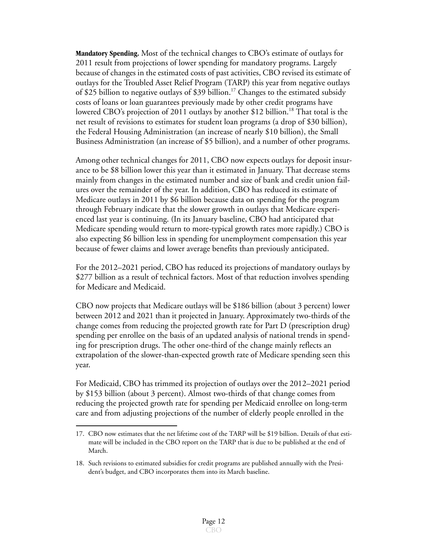**Mandatory Spending.** Most of the technical changes to CBO's estimate of outlays for 2011 result from projections of lower spending for mandatory programs. Largely because of changes in the estimated costs of past activities, CBO revised its estimate of outlays for the Troubled Asset Relief Program (TARP) this year from negative outlays of \$25 billion to negative outlays of \$39 billion.<sup>17</sup> Changes to the estimated subsidy costs of loans or loan guarantees previously made by other credit programs have lowered CBO's projection of 2011 outlays by another \$12 billion.<sup>18</sup> That total is the net result of revisions to estimates for student loan programs (a drop of \$30 billion), the Federal Housing Administration (an increase of nearly \$10 billion), the Small Business Administration (an increase of \$5 billion), and a number of other programs.

Among other technical changes for 2011, CBO now expects outlays for deposit insurance to be \$8 billion lower this year than it estimated in January. That decrease stems mainly from changes in the estimated number and size of bank and credit union failures over the remainder of the year. In addition, CBO has reduced its estimate of Medicare outlays in 2011 by \$6 billion because data on spending for the program through February indicate that the slower growth in outlays that Medicare experienced last year is continuing. (In its January baseline, CBO had anticipated that Medicare spending would return to more-typical growth rates more rapidly.) CBO is also expecting \$6 billion less in spending for unemployment compensation this year because of fewer claims and lower average benefits than previously anticipated.

For the 2012–2021 period, CBO has reduced its projections of mandatory outlays by \$277 billion as a result of technical factors. Most of that reduction involves spending for Medicare and Medicaid.

CBO now projects that Medicare outlays will be \$186 billion (about 3 percent) lower between 2012 and 2021 than it projected in January. Approximately two-thirds of the change comes from reducing the projected growth rate for Part D (prescription drug) spending per enrollee on the basis of an updated analysis of national trends in spending for prescription drugs. The other one-third of the change mainly reflects an extrapolation of the slower-than-expected growth rate of Medicare spending seen this year.

For Medicaid, CBO has trimmed its projection of outlays over the 2012–2021 period by \$153 billion (about 3 percent). Almost two-thirds of that change comes from reducing the projected growth rate for spending per Medicaid enrollee on long-term care and from adjusting projections of the number of elderly people enrolled in the

<sup>17.</sup> CBO now estimates that the net lifetime cost of the TARP will be \$19 billion. Details of that estimate will be included in the CBO report on the TARP that is due to be published at the end of March.

<sup>18.</sup> Such revisions to estimated subsidies for credit programs are published annually with the President's budget, and CBO incorporates them into its March baseline.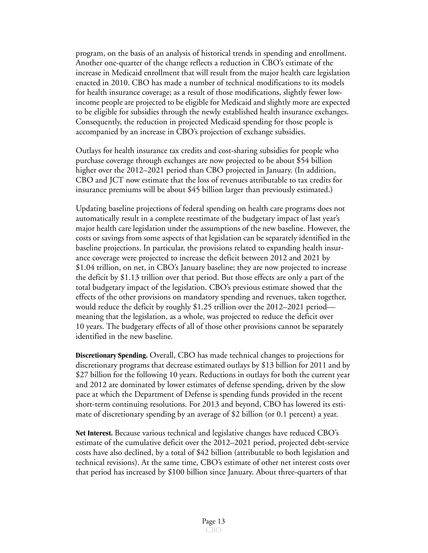program, on the basis of an analysis of historical trends in spending and enrollment. Another one-quarter of the change reflects a reduction in CBO's estimate of the increase in Medicaid enrollment that will result from the major health care legislation enacted in 2010. CBO has made a number of technical modifications to its models for health insurance coverage; as a result of those modifications, slightly fewer lowincome people are projected to be eligible for Medicaid and slightly more are expected to be eligible for subsidies through the newly established health insurance exchanges. Consequently, the reduction in projected Medicaid spending for those people is accompanied by an increase in CBO's projection of exchange subsidies.

Outlays for health insurance tax credits and cost-sharing subsidies for people who purchase coverage through exchanges are now projected to be about \$54 billion higher over the 2012–2021 period than CBO projected in January. (In addition, CBO and JCT now estimate that the loss of revenues attributable to tax credits for insurance premiums will be about \$45 billion larger than previously estimated.)

Updating baseline projections of federal spending on health care programs does not automatically result in a complete reestimate of the budgetary impact of last year's major health care legislation under the assumptions of the new baseline. However, the costs or savings from some aspects of that legislation can be separately identified in the baseline projections. In particular, the provisions related to expanding health insurance coverage were projected to increase the deficit between 2012 and 2021 by \$1.04 trillion, on net, in CBO's January baseline; they are now projected to increase the deficit by \$1.13 trillion over that period. But those effects are only a part of the total budgetary impact of the legislation. CBO's previous estimate showed that the effects of the other provisions on mandatory spending and revenues, taken together, would reduce the deficit by roughly \$1.25 trillion over the 2012–2021 period meaning that the legislation, as a whole, was projected to reduce the deficit over 10 years. The budgetary effects of all of those other provisions cannot be separately identified in the new baseline.

**Discretionary Spending.** Overall, CBO has made technical changes to projections for discretionary programs that decrease estimated outlays by \$13 billion for 2011 and by \$27 billion for the following 10 years. Reductions in outlays for both the current year and 2012 are dominated by lower estimates of defense spending, driven by the slow pace at which the Department of Defense is spending funds provided in the recent short-term continuing resolutions. For 2013 and beyond, CBO has lowered its estimate of discretionary spending by an average of \$2 billion (or 0.1 percent) a year.

**Net Interest.** Because various technical and legislative changes have reduced CBO's estimate of the cumulative deficit over the 2012–2021 period, projected debt-service costs have also declined, by a total of \$42 billion (attributable to both legislation and technical revisions). At the same time, CBO's estimate of other net interest costs over that period has increased by \$100 billion since January. About three-quarters of that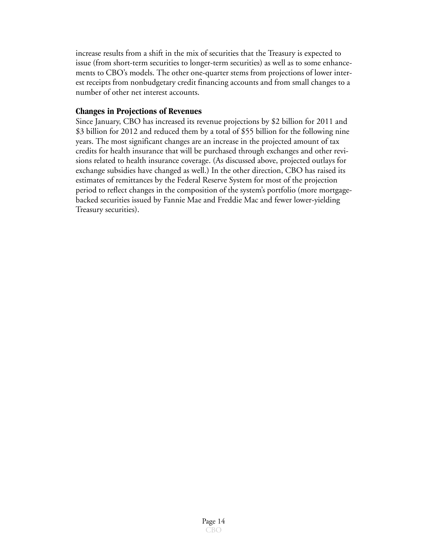increase results from a shift in the mix of securities that the Treasury is expected to issue (from short-term securities to longer-term securities) as well as to some enhancements to CBO's models. The other one-quarter stems from projections of lower interest receipts from nonbudgetary credit financing accounts and from small changes to a number of other net interest accounts.

#### **Changes in Projections of Revenues**

Since January, CBO has increased its revenue projections by \$2 billion for 2011 and \$3 billion for 2012 and reduced them by a total of \$55 billion for the following nine years. The most significant changes are an increase in the projected amount of tax credits for health insurance that will be purchased through exchanges and other revisions related to health insurance coverage. (As discussed above, projected outlays for exchange subsidies have changed as well.) In the other direction, CBO has raised its estimates of remittances by the Federal Reserve System for most of the projection period to reflect changes in the composition of the system's portfolio (more mortgagebacked securities issued by Fannie Mae and Freddie Mac and fewer lower-yielding Treasury securities).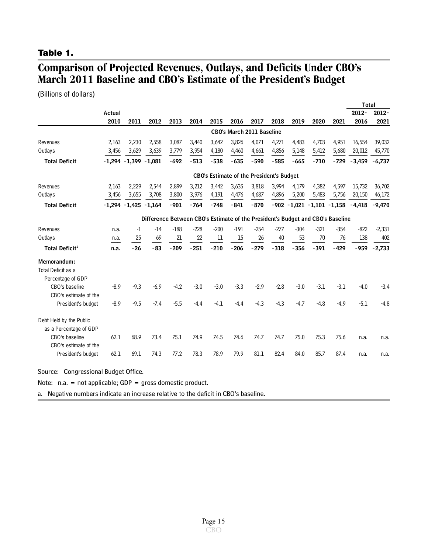#### <span id="page-15-0"></span>**Table 1.**

## **Comparison of Projected Revenues, Outlays, and Deficits Under CBO's March 2011 Baseline and CBO's Estimate of the President's Budget**

(Billions of dollars)

|                                  |          |                  |                                                                                |        |        |        |        |                                                 |        |        |                        |        | <b>Total</b> |          |
|----------------------------------|----------|------------------|--------------------------------------------------------------------------------|--------|--------|--------|--------|-------------------------------------------------|--------|--------|------------------------|--------|--------------|----------|
|                                  | Actual   |                  |                                                                                |        |        |        |        |                                                 |        |        |                        |        | $2012 -$     | $2012 -$ |
|                                  | 2010     | 2011             | 2012                                                                           | 2013   | 2014   | 2015   | 2016   | 2017                                            | 2018   | 2019   | 2020                   | 2021   | 2016         | 2021     |
|                                  |          |                  |                                                                                |        |        |        |        | <b>CBO's March 2011 Baseline</b>                |        |        |                        |        |              |          |
| Revenues                         | 2,163    | 2,230            | 2,558                                                                          | 3,087  | 3,440  | 3,642  | 3,826  | 4,071                                           | 4,271  | 4,483  | 4,703                  | 4,951  | 16,554       | 39,032   |
| Outlays                          | 3,456    | 3,629            | 3,639                                                                          | 3,779  | 3,954  | 4,180  | 4,460  | 4,661                                           | 4,856  | 5,148  | 5,412                  | 5,680  | 20,012       | 45,770   |
| <b>Total Deficit</b>             |          | $-1.294 - 1.399$ | $-1.081$                                                                       | $-692$ | $-513$ | $-538$ | $-635$ | $-590$                                          | $-585$ | $-665$ | $-710$                 | $-729$ | $-3,459$     | $-6,737$ |
|                                  |          |                  |                                                                                |        |        |        |        | <b>CBO's Estimate of the President's Budget</b> |        |        |                        |        |              |          |
| Revenues                         | 2,163    | 2,229            | 2,544                                                                          | 2,899  | 3,212  | 3,442  | 3,635  | 3,818                                           | 3,994  | 4,179  | 4,382                  | 4,597  | 15,732       | 36,702   |
| Outlays                          | 3,456    | 3,655            | 3,708                                                                          | 3,800  | 3,976  | 4,191  | 4,476  | 4,687                                           | 4,896  | 5,200  | 5,483                  | 5,756  | 20,150       | 46,172   |
| <b>Total Deficit</b>             | $-1.294$ | $-1,425$         | $-1.164$                                                                       | $-901$ | $-764$ | $-748$ | $-841$ | $-870$                                          | $-902$ |        | $-1,021 -1,101 -1,158$ |        | $-4.418$     | $-9,470$ |
|                                  |          |                  | Difference Between CBO's Estimate of the President's Budget and CBO's Baseline |        |        |        |        |                                                 |        |        |                        |        |              |          |
| Revenues                         | n.a.     | -1               | $-14$                                                                          | $-188$ | $-228$ | $-200$ | $-191$ | $-254$                                          | $-277$ | $-304$ | $-321$                 | $-354$ | $-822$       | $-2,331$ |
| Outlays                          | n.a.     | 25               | 69                                                                             | 21     | 22     | 11     | 15     | 26                                              | 40     | 53     | 70                     | 76     | 138          | 402      |
| <b>Total Deficit<sup>a</sup></b> | n.a.     | $-26$            | $-83$                                                                          | $-209$ | $-251$ | $-210$ | $-206$ | $-279$                                          | $-318$ | $-356$ | $-391$                 | $-429$ | $-959$       | $-2,733$ |
| Memorandum:                      |          |                  |                                                                                |        |        |        |        |                                                 |        |        |                        |        |              |          |
| Total Deficit as a               |          |                  |                                                                                |        |        |        |        |                                                 |        |        |                        |        |              |          |
| Percentage of GDP                |          |                  |                                                                                |        |        |        |        |                                                 |        |        |                        |        |              |          |
| CBO's baseline                   | $-8.9$   | $-9.3$           | $-6.9$                                                                         | $-4.2$ | $-3.0$ | $-3.0$ | $-3.3$ | $-2.9$                                          | $-2.8$ | $-3.0$ | $-3.1$                 | $-3.1$ | $-4.0$       | $-3.4$   |
| CBO's estimate of the            |          |                  |                                                                                |        |        |        |        |                                                 |        |        |                        |        |              |          |
| President's budget               | $-8.9$   | $-9.5$           | $-7.4$                                                                         | $-5.5$ | $-4.4$ | $-4.1$ | $-4.4$ | $-4.3$                                          | $-4.3$ | $-4.7$ | $-4.8$                 | $-4.9$ | $-5.1$       | $-4.8$   |
| Debt Held by the Public          |          |                  |                                                                                |        |        |        |        |                                                 |        |        |                        |        |              |          |
| as a Percentage of GDP           |          |                  |                                                                                |        |        |        |        |                                                 |        |        |                        |        |              |          |
| CBO's baseline                   | 62.1     | 68.9             | 73.4                                                                           | 75.1   | 74.9   | 74.5   | 74.6   | 74.7                                            | 74.7   | 75.0   | 75.3                   | 75.6   | n.a.         | n.a.     |
| CBO's estimate of the            |          |                  |                                                                                |        |        |        |        |                                                 |        |        |                        |        |              |          |
| President's budget               | 62.1     | 69.1             | 74.3                                                                           | 77.2   | 78.3   | 78.9   | 79.9   | 81.1                                            | 82.4   | 84.0   | 85.7                   | 87.4   | n.a.         | n.a.     |

Source: Congressional Budget Office.

Note:  $n.a. = not applicable; GDP = gross domestic product.$ 

a. Negative numbers indicate an increase relative to the deficit in CBO's baseline.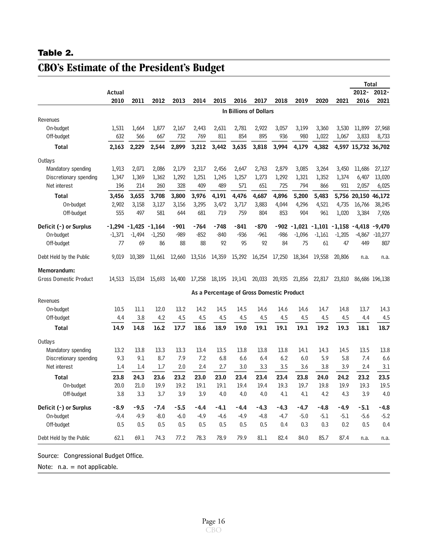### <span id="page-16-0"></span>**Table 2.**

|                               |          |          |          |        |        |        |                                           |        |        |               |                   |          |                     | <b>Total</b>   |
|-------------------------------|----------|----------|----------|--------|--------|--------|-------------------------------------------|--------|--------|---------------|-------------------|----------|---------------------|----------------|
|                               | Actual   |          |          |        |        |        |                                           |        |        |               |                   |          | 2012-               | 2012-          |
|                               | 2010     | 2011     | 2012     | 2013   | 2014   | 2015   | 2016                                      | 2017   | 2018   | 2019          | 2020              | 2021     | 2016                | 2021           |
|                               |          |          |          |        |        |        | In Billions of Dollars                    |        |        |               |                   |          |                     |                |
| Revenues                      |          |          |          |        |        |        |                                           |        |        |               |                   |          |                     |                |
| On-budget                     | 1,531    | 1,664    | 1,877    | 2,167  | 2,443  | 2,631  | 2,781                                     | 2,922  | 3,057  | 3,199         | 3,360             | 3,530    | 11,899              | 27,968         |
| Off-budget                    | 632      | 566      | 667      | 732    | 769    | 811    | 854                                       | 895    | 936    | 980           | 1,022             | 1,067    | 3,833               | 8,733          |
| Total                         | 2,163    | 2,229    | 2,544    | 2,899  | 3,212  | 3,442  | 3,635                                     | 3,818  | 3,994  | 4,179         | 4,382             |          | 4,597 15,732 36,702 |                |
| Outlays                       |          |          |          |        |        |        |                                           |        |        |               |                   |          |                     |                |
| Mandatory spending            | 1,913    | 2,071    | 2,086    | 2,179  | 2,317  | 2,456  | 2,647                                     | 2,763  | 2,879  | 3,085         | 3,264             | 3,450    | 11,686              | 27,127         |
| Discretionary spending        | 1,347    | 1,369    | 1,362    | 1,292  | 1,251  | 1,245  | 1,257                                     | 1,273  | 1,292  | 1,321         | 1,352             | 1,374    | 6,407               | 13,020         |
| Net interest                  | 196      | 214      | 260      | 328    | 409    | 489    | 571                                       | 651    | 725    | 794           | 866               | 931      | 2,057               | 6,025          |
| <b>Total</b>                  | 3,456    | 3,655    | 3,708    | 3,800  | 3,976  | 4,191  | 4,476                                     | 4,687  | 4,896  | 5,200         | 5,483             | 5,756    | 20,150              | 46,172         |
| On-budget                     | 2,902    | 3,158    | 3,127    | 3,156  | 3,295  | 3,472  | 3,717                                     | 3,883  | 4,044  | 4,296         | 4,521             | 4,735    | 16,766              | 38,245         |
| Off-budget                    | 555      | 497      | 581      | 644    | 681    | 719    | 759                                       | 804    | 853    | 904           | 961               | 1,020    | 3,384               | 7,926          |
| Deficit (-) or Surplus        | -1,294   | $-1,425$ | $-1,164$ | $-901$ | -764   | $-748$ | -841                                      | $-870$ | -902   |               | $-1,021$ $-1,101$ | $-1,158$ | $-4,418$            | $-9,470$       |
| On-budget                     | $-1,371$ | $-1,494$ | $-1,250$ | -989   | $-852$ | $-840$ | -936                                      | -961   | -986   | $-1,096$      | $-1,161$          | $-1,205$ | -4,867              | $-10,277$      |
| Off-budget                    | 77       | 69       | 86       | 88     | 88     | 92     | 95                                        | 92     | 84     | 75            | 61                | 47       | 449                 | 807            |
| Debt Held by the Public       | 9,019    | 10,389   | 11,661   | 12,660 | 13,516 | 14,359 | 15,292                                    | 16,254 | 17,250 | 18,364        | 19,558            | 20,806   | n.a.                | n.a.           |
| Memorandum:                   |          |          |          |        |        |        |                                           |        |        |               |                   |          |                     |                |
| <b>Gross Domestic Product</b> | 14,513   | 15,034   | 15,693   | 16,400 | 17,258 |        | 18,195 19,141 20,033                      |        |        | 20,935 21,856 | 22,817            | 23,810   |                     | 86,686 196,138 |
|                               |          |          |          |        |        |        | As a Percentage of Gross Domestic Product |        |        |               |                   |          |                     |                |
| Revenues                      |          |          |          |        |        |        |                                           |        |        |               |                   |          |                     |                |
| On-budget                     | 10.5     | 11.1     | 12.0     | 13.2   | 14.2   | 14.5   | 14.5                                      | 14.6   | 14.6   | 14.6          | 14.7              | 14.8     | 13.7                | 14.3           |
| Off-budget                    | 4.4      | 3.8      | 4.2      | 4.5    | 4.5    | 4.5    | 4.5                                       | 4.5    | 4.5    | 4.5           | 4.5               | 4.5      | 4.4                 | 4.5            |
| Total                         | 14.9     | 14.8     | 16.2     | 17.7   | 18.6   | 18.9   | 19.0                                      | 19.1   | 19.1   | 19.1          | 19.2              | 19.3     | 18.1                | 18.7           |
| Outlays                       |          |          |          |        |        |        |                                           |        |        |               |                   |          |                     |                |
| Mandatory spending            | 13.2     | 13.8     | 13.3     | 13.3   | 13.4   | 13.5   | 13.8                                      | 13.8   | 13.8   | 14.1          | 14.3              | 14.5     | 13.5                | 13.8           |
| Discretionary spending        | 9.3      | 9.1      | 8.7      | 7.9    | 7.2    | 6.8    | 6.6                                       | 6.4    | 6.2    | 6.0           | 5.9               | 5.8      | 7.4                 | 6.6            |
| Net interest                  | 1.4      | 1.4      | 1.7      | 2.0    | 2.4    | 2.7    | 3.0                                       | 3.3    | 3.5    | 3.6           | 3.8               | 3.9      | 2.4                 | 3.1            |
| <b>Total</b>                  | 23.8     | 24.3     | 23.6     | 23.2   | 23.0   | 23.0   | 23.4                                      | 23.4   | 23.4   | 23.8          | 24.0              | 24.2     | 23.2                | 23.5           |
| On-budget                     | 20.0     | 21.0     | 19.9     | 19.2   | 19.1   | 19.1   | 19.4                                      | 19.4   | 19.3   | 19.7          | 19.8              | 19.9     | 19.3                | 19.5           |
| Off-budget                    | 3.8      | 3.3      | 3.7      | 3.9    | 3.9    | 4.0    | 4.0                                       | 4.0    | 4.1    | 4.1           | 4.2               | 4.3      | 3.9                 | 4.0            |
| Deficit (-) or Surplus        | $-8.9$   | $-9.5$   | $-7.4$   | -5.5   | $-4.4$ | -4.1   | $-4.4$                                    | $-4.3$ | $-4.3$ | $-4.7$        | -4.8              | $-4.9$   | -5.1                | $-4.8$         |
| On-budget                     | $-9.4$   | $-9.9$   | $-8.0$   | $-6.0$ | $-4.9$ | $-4.6$ | $-4.9$                                    | $-4.8$ | $-4.7$ | $-5.0$        | -5.1              | $-5.1$   | $-5.6$              | $-5.2$         |
| Off-budget                    | 0.5      | 0.5      | 0.5      | 0.5    | 0.5    | 0.5    | 0.5                                       | 0.5    | 0.4    | 0.3           | 0.3               | 0.2      | 0.5                 | 0.4            |
| Debt Held by the Public       | 62.1     | 69.1     | 74.3     | 77.2   | 78.3   | 78.9   | 79.9                                      | 81.1   | 82.4   | 84.0          | 85.7              | 87.4     | n.a.                | n.a.           |

# **CBO's Estimate of the President's Budget**

Source: Congressional Budget Office.

Note: n.a. = not applicable.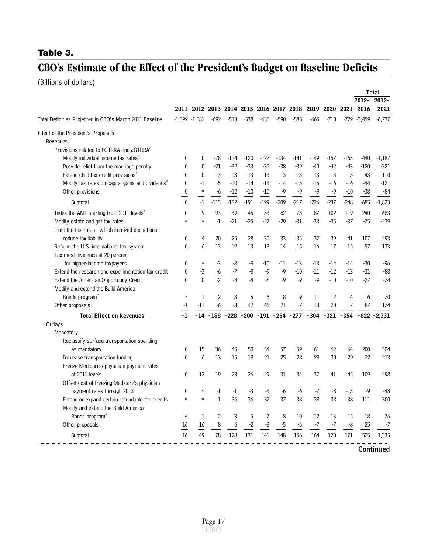## <span id="page-17-0"></span>**Table 3.**

# **CBO's Estimate of the Effect of the President's Budget on Baseline Deficits**

(Billions of dollars)

|                                                              |              |                 |                |        |        |        |        |                                              |        |        |        |                | <b>Total</b>                                                 |
|--------------------------------------------------------------|--------------|-----------------|----------------|--------|--------|--------|--------|----------------------------------------------|--------|--------|--------|----------------|--------------------------------------------------------------|
|                                                              |              |                 |                |        |        |        |        |                                              |        |        |        | 2012-          | $2012 -$                                                     |
|                                                              |              |                 |                |        |        |        |        | 2011 2012 2013 2014 2015 2016 2017 2018 2019 |        |        |        | 2020 2021 2016 | 2021                                                         |
| Total Deficit as Projected in CBO's March 2011 Baseline      |              | $-1,399 -1,081$ | -692           | $-513$ | $-538$ | $-635$ | $-590$ | $-585$                                       | $-665$ | $-710$ |        | $-729 - 3,459$ | $-6,737$                                                     |
| Effect of the President's Proposals<br>Revenues              |              |                 |                |        |        |        |        |                                              |        |        |        |                |                                                              |
| Provisions related to EGTRRA and JGTRRA <sup>a</sup>         |              |                 |                |        |        |        |        |                                              |        |        |        |                |                                                              |
| Modify individual income tax rates <sup>b</sup>              | 0            | 0               | $-78$          | $-114$ | $-120$ | $-127$ | $-134$ | $-141$                                       | $-149$ | $-157$ | $-165$ | -440           | $-1,187$                                                     |
| Provide relief from the marriage penalty                     | 0            | 0               | $-21$          | $-32$  | $-33$  | $-35$  | $-38$  | $-39$                                        | $-40$  | $-42$  | $-43$  | $-120$         | $-321$                                                       |
| Extend child tax credit provisions <sup>c</sup>              | $\mathbf{0}$ | 0               | $-3$           | $-13$  | -13    | $-13$  | $-13$  | $-13$                                        | $-13$  | $-13$  | $-13$  | -43            | $-110$                                                       |
| Modify tax rates on capital gains and dividends <sup>d</sup> | $\mathbf{0}$ | $-1$            | $-5$           | $-10$  | $-14$  | -14    | $-14$  | $-15$                                        | -15    | $-16$  | $-16$  | -44            | $-121$                                                       |
| Other provisions                                             | $\bf{0}$     | $\star$         | -6             | $-12$  | $-10$  | $-10$  | $-9$   | $-9$                                         | $-9$   | $-9$   | $-10$  | $-38$          | $-84$                                                        |
| Subtotal                                                     | $\theta$     | $-1$            | $-113$         | $-182$ | $-191$ | $-199$ | $-209$ | $-217$                                       | $-226$ | $-237$ | $-248$ | $-685$         | $-1,823$                                                     |
| Index the AMT starting from 2011 levels <sup>a</sup>         | $\mathbf{0}$ | $-9$            | $-93$          | $-39$  | -45    | $-53$  | $-62$  | -73                                          | $-87$  | $-102$ | $-119$ | $-240$         | $-683$                                                       |
| Modify estate and gift tax rates                             | $\star$      | $^\star$        | $-1$           | $-21$  | $-25$  | $-27$  | $-29$  | $-31$                                        | $-33$  | $-35$  | $-37$  | $-75$          | $-239$                                                       |
| Limit the tax rate at which itemized deductions              |              |                 |                |        |        |        |        |                                              |        |        |        |                |                                                              |
| reduce tax liability                                         | 0            | 4               | 20             | 25     | 28     | 30     | 33     | 35                                           | 37     | 39     | 41     | 107            | 293                                                          |
| Reform the U.S. international tax system                     | $\mathbf{0}$ | 6               | 13             | 12     | 13     | 13     | 14     | 15                                           | 16     | 17     | 15     | 57             | 133                                                          |
| Tax most dividends at 20 percent                             |              |                 |                |        |        |        |        |                                              |        |        |        |                |                                                              |
| for higher-income taxpayers                                  | $\mathbf{0}$ | $^\star$        | $-3$           | -8     | -9     | -10    | -11    | -13                                          | -13    | -14    | -14    | -30            | $-96$                                                        |
| Extend the research and experimentation tax credit           | $\mathbf{0}$ | $-3$            | -6             | $-7$   | -8     | $-9$   | $-9$   | $-10$                                        | -11    | $-12$  | -13    | $-31$          | $-88$                                                        |
| Extend the American Opportunity Credit                       | $\theta$     | $\theta$        | $-2$           | $-8$   | -8     | -8     | $-9$   | $-9$                                         | -9     | $-10$  | $-10$  | $-27$          | $-74$                                                        |
| Modify and extend the Build America                          |              |                 |                |        |        |        |        |                                              |        |        |        |                |                                                              |
| Bonds program <sup>e</sup>                                   | $\star$      | 1               | $\overline{2}$ | 3      | 5      | 6      | 8      | 9                                            | 11     | 12     | 14     | 16             | 70                                                           |
| Other proposals                                              | -1           | $-11$           | -6             | -3     | 42     | 66     | 21     | 17                                           | 13     | 20     | 17     | 87             | 174                                                          |
| <b>Total Effect on Revenues</b>                              | -1           |                 |                |        |        |        |        |                                              |        |        |        |                | -14 -188 -228 -200 -191 -254 -277 -304 -321 -354 -822 -2,331 |
| Outlays                                                      |              |                 |                |        |        |        |        |                                              |        |        |        |                |                                                              |
| Mandatory                                                    |              |                 |                |        |        |        |        |                                              |        |        |        |                |                                                              |
| Reclassify surface transportation spending                   |              |                 |                |        |        |        |        |                                              |        |        |        |                |                                                              |
| as mandatory                                                 | $\mathbf{0}$ | 15              | 36             | 45     | 50     | 54     | 57     | 59                                           | 61     | 62     | 64     | 200            | 504                                                          |
| Increase transportation funding                              | $\theta$     | 6               | 13             | 15     | 18     | 21     | 25     | 28                                           | 29     | 30     | 29     | 72             | 213                                                          |
| Freeze Medicare's physician payment rates                    |              |                 |                |        |        |        |        |                                              |        |        |        |                |                                                              |
| at 2011 levels                                               | $\mathbf{0}$ | 12              | 19             | 23     | 26     | 29     | 31     | 34                                           | 37     | 41     | 45     | 109            | 298                                                          |
| Offset cost of freezing Medicare's physician                 |              |                 |                |        |        |        |        |                                              |        |        |        |                |                                                              |
| payment rates through 2013                                   | $\mathbf{0}$ | $^\star$        | $-1$           | -1     | -3     | -4     | -6     | -6                                           | -7     | -8     | $-13$  | -9             | -48                                                          |
| Extend or expand certain refundable tax credits              | *            |                 | ı              | २४     | 36     | 37     | 37     | 38                                           | 38     | 38     | 38     | 111            | 300                                                          |
| Modify and extend the Build America                          |              |                 |                |        |        |        |        |                                              |        |        |        |                |                                                              |
| Bonds program <sup>e</sup>                                   | $^\star$     | 1               | $\overline{2}$ | 3      | 5      | 7      | 8      | 10                                           | 12     | 13     | 15     | 18             | 76                                                           |
| Other proposals                                              | 16           | 16              | 8              | 6      | -2     | $-3$   | $-5$   | -6                                           | $-7$   | $-7$   | $-8$   | 25             | -7                                                           |
| Subtotal                                                     | 16           | 49              | 78             | 128    | 131    | 141    | 148    | 156                                          | 164    | 170    | 171    | 525            | 1,335                                                        |
|                                                              |              |                 |                |        |        |        |        |                                              |        |        |        |                |                                                              |
|                                                              |              |                 |                |        |        |        |        |                                              |        |        |        |                | Continued                                                    |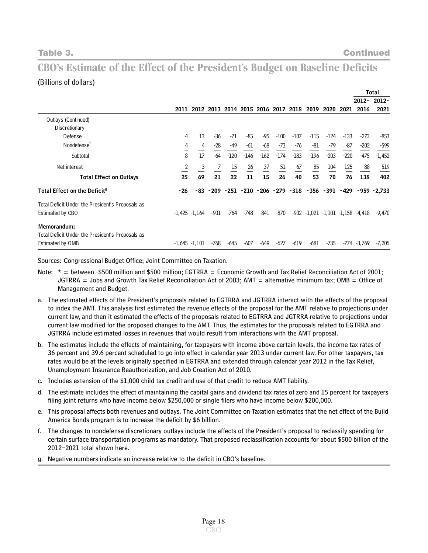# **CBO's Estimate of the Effect of the President's Budget on Baseline Deficits**

#### (Billions of dollars)

|                                                  |                 |                 |        |                |        |                |        |        |                                                         |        |        |                                        | Total                |
|--------------------------------------------------|-----------------|-----------------|--------|----------------|--------|----------------|--------|--------|---------------------------------------------------------|--------|--------|----------------------------------------|----------------------|
|                                                  |                 |                 |        |                |        |                |        |        |                                                         |        |        | $2012 -$                               | $2012 -$             |
|                                                  | 2011            |                 |        | 2012 2013 2014 |        | 2015 2016 2017 |        | 2018   | 2019                                                    | 2020   | 2021   | 2016                                   | 2021                 |
| Outlays (Continued)                              |                 |                 |        |                |        |                |        |        |                                                         |        |        |                                        |                      |
| Discretionary                                    |                 |                 |        |                |        |                |        |        |                                                         |        |        |                                        |                      |
| Defense                                          | 4               | 13              | $-36$  | -71            | $-85$  | -95            | $-100$ | $-107$ | $-115$                                                  | $-124$ | $-133$ | $-273$                                 | $-853$               |
| Nondefense <sup>t</sup>                          | 4               | 4               | $-28$  | -49            | $-61$  | -68            | -73    | -76    | -81                                                     | -79    | $-87$  | $-202$                                 | $-599$               |
| Subtotal                                         | 8               | 17              | $-64$  | $-120$         | $-146$ | $-162$         | $-174$ | $-183$ | $-196$                                                  | $-203$ | $-220$ | -475                                   | $-1,452$             |
| Net interest                                     | 2               | 3               | 7      | 15             | 26     | 37             | 51     | 67     | 85                                                      | 104    | 125    | 88                                     | 519                  |
| <b>Total Effect on Outlays</b>                   | 25              | 69              | 21     | 22             | 11     | 15             | 26     | 40     | 53                                                      | 70     | 76     | 138                                    | 402                  |
| Total Effect on the Deficit <sup>9</sup>         | -26             | -83             |        |                |        |                |        |        | $-209$ $-251$ $-210$ $-206$ $-279$ $-318$ $-356$ $-391$ |        |        |                                        | $-429 - 959 - 2,733$ |
| Total Deficit Under the President's Proposals as |                 |                 |        |                |        |                |        |        |                                                         |        |        |                                        |                      |
| Estimated by CBO                                 |                 | $-1,425 -1,164$ | -901   | -764           | -748   | -841           | -870   |        |                                                         |        |        | $-902 - 1,021 - 1,101 - 1,158 - 4,418$ | -9,470               |
| Memorandum:                                      |                 |                 |        |                |        |                |        |        |                                                         |        |        |                                        |                      |
| Total Deficit Under the President's Proposals as |                 |                 |        |                |        |                |        |        |                                                         |        |        |                                        |                      |
| Estimated by OMB                                 | $-1,645 -1,101$ |                 | $-768$ | -645           | $-607$ | $-649$         | $-627$ | $-619$ | $-681$                                                  | $-735$ |        | -774 -3,769                            | $-7,205$             |

Sources: Congressional Budget Office; Joint Committee on Taxation.

- Note: \* = between -\$500 million and \$500 million; EGTRRA = Economic Growth and Tax Relief Reconciliation Act of 2001; JGTRRA = Jobs and Growth Tax Relief Reconciliation Act of 2003; AMT = alternative minimum tax; OMB = Office of Management and Budget.
- a. The estimated effects of the President's proposals related to EGTRRA and JGTRRA interact with the effects of the proposal to index the AMT. This analysis first estimated the revenue effects of the proposal for the AMT relative to projections under current law, and then it estimated the effects of the proposals related to EGTRRA and JGTRRA relative to projections under current law modified for the proposed changes to the AMT. Thus, the estimates for the proposals related to EGTRRA and JGTRRA include estimated losses in revenues that would result from interactions with the AMT proposal.
- b. The estimates include the effects of maintaining, for taxpayers with income above certain levels, the income tax rates of 36 percent and 39.6 percent scheduled to go into effect in calendar year 2013 under current law. For other taxpayers, tax rates would be at the levels originally specified in EGTRRA and extended through calendar year 2012 in the Tax Relief, Unemployment Insurance Reauthorization, and Job Creation Act of 2010.
- c. Includes extension of the \$1,000 child tax credit and use of that credit to reduce AMT liability.
- d. The estimate includes the effect of maintaining the capital gains and dividend tax rates of zero and 15 percent for taxpayers filing joint returns who have income below \$250,000 or single filers who have income below \$200,000.
- e. This proposal affects both revenues and outlays. The Joint Committee on Taxation estimates that the net effect of the Build America Bonds program is to increase the deficit by \$6 billion.
- f. The changes to nondefense discretionary outlays include the effects of the President's proposal to reclassify spending for certain surface transportation programs as mandatory. That proposed reclassification accounts for about \$500 billion of the 2012–2021 total shown here.
- g. Negative numbers indicate an increase relative to the deficit in CBO's baseline.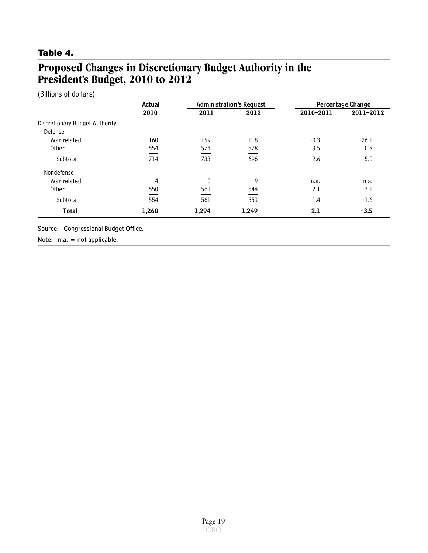## <span id="page-19-0"></span>**Table 4.**

# **Proposed Changes in Discretionary Budget Authority in the President's Budget, 2010 to 2012**

| (Billions of dollars)          |        |              |                                 |                   |           |  |  |  |
|--------------------------------|--------|--------------|---------------------------------|-------------------|-----------|--|--|--|
|                                | Actual |              | <b>Administration's Request</b> | Percentage Change |           |  |  |  |
|                                | 2010   | 2011         | 2012                            | 2010-2011         | 2011-2012 |  |  |  |
| Discretionary Budget Authority |        |              |                                 |                   |           |  |  |  |
| Defense                        |        |              |                                 |                   |           |  |  |  |
| War-related                    | 160    | 159          | 118                             | $-0.3$            | $-26.1$   |  |  |  |
| Other                          | 554    | 574          | 578                             | 3.5               | 0.8       |  |  |  |
| Subtotal                       | 714    | 733          | 696                             | 2.6               | $-5.0$    |  |  |  |
| Nondefense                     |        |              |                                 |                   |           |  |  |  |
| War-related                    | 4      | $\mathbf{0}$ | 9                               | n.a.              | n.a.      |  |  |  |
| Other                          | 550    | 561          | 544                             | 2.1               | -3.1      |  |  |  |
| Subtotal                       | 554    | 561          | 553                             | 1.4               | $-1.6$    |  |  |  |
| <b>Total</b>                   | 1,268  | 1,294        | 1,249                           | 2.1               | $-3.5$    |  |  |  |

Source: Congressional Budget Office.

Note: n.a. = not applicable.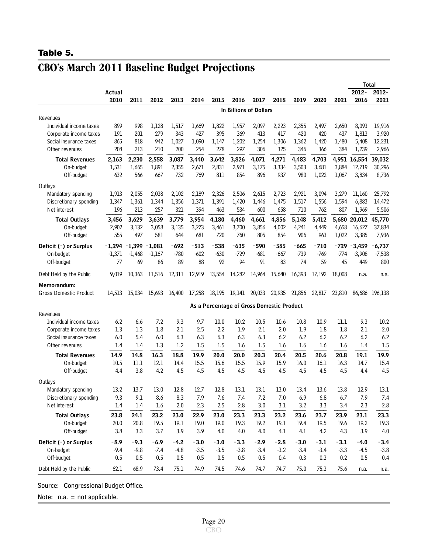#### <span id="page-20-0"></span>**Table 5.**

|                               |          |                 |          |         |        |                                           |        |                             |        |        |        |        | <b>Total</b> |                |
|-------------------------------|----------|-----------------|----------|---------|--------|-------------------------------------------|--------|-----------------------------|--------|--------|--------|--------|--------------|----------------|
|                               | Actual   |                 |          |         |        |                                           |        |                             |        |        |        |        | 2012-        | $2012 -$       |
|                               | 2010     | 2011            | 2012     | 2013    | 2014   | 2015                                      | 2016   | 2017                        | 2018   | 2019   | 2020   | 2021   | 2016         | 2021           |
|                               |          |                 |          |         |        |                                           |        | In Billions of Dollars      |        |        |        |        |              |                |
| Revenues                      |          |                 |          |         |        |                                           |        |                             |        |        |        |        |              |                |
| Individual income taxes       | 899      | 998             | 1,128    | 1,517   | 1,669  | 1,822                                     | 1,957  | 2,097                       | 2,223  | 2,355  | 2,497  | 2,650  | 8,093        | 19,916         |
| Corporate income taxes        | 191      | 201             | 279      | 343     | 427    | 395                                       | 369    | 413                         | 417    | 420    | 420    | 437    | 1,813        | 3,920          |
| Social insurance taxes        | 865      | 818             | 942      | 1,027   | 1,090  | 1,147                                     | 1,202  | 1,254                       | 1,306  | 1,362  | 1,420  | 1,480  | 5,408        | 12,231         |
| Other revenues                | 208      | 213             | 210      | 200     | 254    | 278                                       | 297    | 306                         | 325    | 346    | 366    | 384    | 1,239        | 2,966          |
| <b>Total Revenues</b>         | 2,163    | 2,230           | 2,558    | 3,087   | 3,440  | 3,642                                     | 3,826  | 4,071                       | 4,271  | 4,483  | 4,703  | 4,951  | 16,554       | 39,032         |
| On-budget                     | 1,531    | 1,665           | 1,891    | 2,355   | 2,671  | 2,831                                     | 2,971  | 3,175                       | 3,334  | 3,503  | 3,681  | 3,884  | 12,719       | 30,296         |
| Off-budget                    | 632      | 566             | 667      | 732     | 769    | 811                                       | 854    | 896                         | 937    | 980    | 1,022  | 1,067  | 3,834        | 8,736          |
| Outlays                       |          |                 |          |         |        |                                           |        |                             |        |        |        |        |              |                |
| Mandatory spending            | 1,913    | 2,055           | 2,038    | 2,102   | 2,189  | 2,326                                     | 2,506  | 2,615                       | 2,723  | 2,921  | 3,094  | 3,279  | 11,160       | 25,792         |
| Discretionary spending        | 1,347    | 1,361           | 1,344    | 1,356   | 1,371  | 1,391                                     | 1,420  | 1,446                       | 1,475  | 1,517  | 1,556  | 1,594  | 6,883        | 14,472         |
| Net interest                  | 196      | 213             | 257      | 321     | 394    | 463                                       | 534    | 600                         | 658    | 710    | 762    | 807    | 1,969        | 5,506          |
| <b>Total Outlays</b>          | 3,456    | 3,629           | 3,639    | 3,779   | 3,954  | 4,180                                     | 4,460  | 4,661                       | 4,856  | 5,148  | 5,412  | 5,680  | 20,012       | 45,770         |
| On-budget                     | 2,902    | 3,132           | 3,058    | 3,135   | 3,273  | 3,461                                     | 3,700  | 3,856                       | 4,002  | 4,241  | 4,449  | 4,658  | 16,627       | 37,834         |
| Off-budget                    | 555      | 497             | 581      | 644     | 681    | 720                                       | 760    | 805                         | 854    | 906    | 963    | 1,022  | 3,385        | 7,936          |
|                               |          |                 |          |         |        |                                           |        |                             |        |        |        |        |              |                |
| Deficit (-) or Surplus        | $-1,294$ | $-1,399 -1,081$ |          | $-692$  | $-513$ | $-538$                                    | $-635$ | -590                        | $-585$ | -665   | $-710$ | -729   | $-3,459$     | $-6,737$       |
| On-budget                     | $-1,371$ | $-1,468$        | $-1,167$ | $-780$  | $-602$ | $-630$                                    | $-729$ | $-681$                      | $-667$ | $-739$ | $-769$ | $-774$ | $-3,908$     | $-7,538$       |
| Off-budget                    | 77       | 69              | 86       | 89      | 88     | 92                                        | 94     | 91                          | 83     | 74     | 59     | 45     | 449          | 800            |
| Debt Held by the Public       | 9,019    | 10,363          | 11.516   | 12,311  | 12,919 | 13,554                                    | 14,282 | 14,964                      | 15,640 | 16,393 | 17,192 | 18,008 | n.a.         | n.a.           |
| Memorandum:                   |          |                 |          |         |        |                                           |        |                             |        |        |        |        |              |                |
| <b>Gross Domestic Product</b> | 14,513   | 15,034          | 15,693   | 16,400  | 17,258 |                                           |        | 18,195 19,141 20,033 20,935 |        | 21,856 | 22,817 | 23,810 |              | 86,686 196,138 |
|                               |          |                 |          |         |        |                                           |        |                             |        |        |        |        |              |                |
|                               |          |                 |          |         |        | As a Percentage of Gross Domestic Product |        |                             |        |        |        |        |              |                |
| Revenues                      |          |                 |          |         |        |                                           |        |                             |        |        |        |        |              |                |
| Individual income taxes       | 6.2      | 6.6             | 7.2      | 9.3     | 9.7    | 10.0                                      | 10.2   | 10.5                        | 10.6   | 10.8   | 10.9   | 11.1   | 9.3          | 10.2           |
| Corporate income taxes        | 1.3      | 1.3             | 1.8      | 2.1     | 2.5    | 2.2                                       | 1.9    | 2.1                         | 2.0    | 1.9    | 1.8    | 1.8    | 2.1          | 2.0            |
| Social insurance taxes        | 6.0      | 5.4             | 6.0      | 6.3     | 6.3    | 6.3                                       | 6.3    | 6.3                         | 6.2    | 6.2    | 6.2    | 6.2    | 6.2          | 6.2            |
| Other revenues                | 1.4      | 1.4             | 1.3      | 1.2     | 1.5    | 1.5                                       | 1.6    | 1.5                         | 1.6    | 1.6    | 1.6    | 1.6    | 1.4          | 1.5            |
| <b>Total Revenues</b>         | 14.9     | 14.8            | 16.3     | 18.8    | 19.9   | 20.0                                      | 20.0   | 20.3                        | 20.4   | 20.5   | 20.6   | 20.8   | 19.1         | 19.9           |
| On-budget                     | 10.5     | 11.1            | 12.1     | 14.4    | 15.5   | 15.6                                      | 15.5   | 15.9                        | 15.9   | 16.0   | 16.1   | 16.3   | 14.7         | 15.4           |
| Off-budget                    | 4.4      | 3.8             | 4.2      | 4.5     | 4.5    | 4.5                                       | 4.5    | 4.5                         | 4.5    | 4.5    | 4.5    | 4.5    | 4.4          | 4.5            |
| Outlays                       |          |                 |          |         |        |                                           |        |                             |        |        |        |        |              |                |
| Mandatory spending            | 13.2     | 13.7            | 13.0     | 12.8    | 12.7   | 12.8                                      | 13.1   | 13.1                        | 13.0   | 13.4   | 13.6   | 13.8   | 12.9         | 13.1           |
| Discretionary spending        | 9.3      | 9.1             | 8.6      | 8.3     | 7.9    | 7.6                                       | 7.4    | 7.2                         | 7.0    | 6.9    | 6.8    | 6.7    | 7.9          | 7.4            |
| Net interest                  | 1.4      | 1.4             | 1.6      | $2.0\,$ | 2.3    | 2.5                                       | 2.8    | $3.0\,$                     | 3.1    | 3.2    | 3.3    | 3.4    | 2.3          | 2.8            |
| <b>Total Outlays</b>          | 23.8     | 24.1            | 23.2     | 23.0    | 22.9   | 23.0                                      | 23.3   | 23.3                        | 23.2   | 23.6   | 23.7   | 23.9   | 23.1         | 23.3           |
| On-budget                     | 20.0     | 20.8            | 19.5     | 19.1    | 19.0   | 19.0                                      | 19.3   | 19.2                        | 19.1   | 19.4   | 19.5   | 19.6   | 19.2         | 19.3           |
| Off-budget                    | 3.8      | 3.3             | 3.7      | 3.9     | 3.9    | 4.0                                       | 4.0    | 4.0                         | 4.1    | 4.1    | 4.2    | 4.3    | 3.9          | 4.0            |
| Deficit (-) or Surplus        | $-8.9$   | $-9.3$          | $-6.9$   | $-4.2$  | $-3.0$ | $-3.0$                                    | $-3.3$ | $-2.9$                      | $-2.8$ | $-3.0$ | $-3.1$ | $-3.1$ | $-4.0$       | $-3.4$         |
| On-budget                     | $-9.4$   | $-9.8$          | $-7.4$   | $-4.8$  | $-3.5$ | $-3.5$                                    | $-3.8$ | $-3.4$                      | $-3.2$ | $-3.4$ | $-3.4$ | $-3.3$ | $-4.5$       | $-3.8$         |
| Off-budget                    | 0.5      | 0.5             | 0.5      | 0.5     | 0.5    | 0.5                                       | 0.5    | 0.5                         | 0.4    | 0.3    | 0.3    | 0.2    | 0.5          | 0.4            |
| Debt Held by the Public       | 62.1     | 68.9            | 73.4     | 75.1    | 74.9   | 74.5                                      | 74.6   | 74.7                        | 74.7   | 75.0   | 75.3   | 75.6   | n.a.         | n.a.           |
|                               |          |                 |          |         |        |                                           |        |                             |        |        |        |        |              |                |

# **CBO's March 2011 Baseline Budget Projections**

Source: Congressional Budget Office.

Note: n.a. = not applicable.